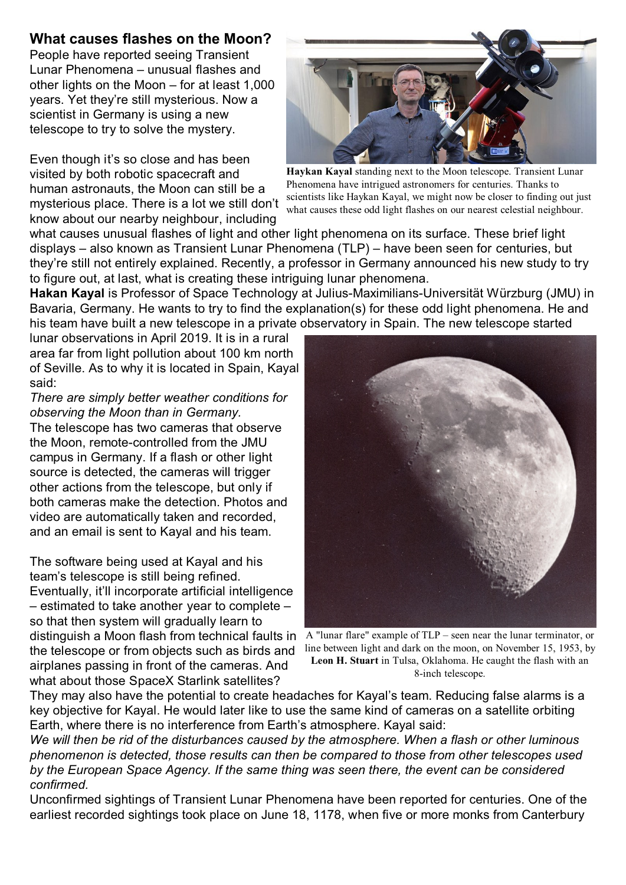## **What causes flashes on the Moon?**

People have reported seeing Transient Lunar Phenomena – unusual flashes and other lights on the Moon – for at least 1,000 years. Yet they're still mysterious. Now a scientist in Germany is using a new telescope to try to solve the mystery.

Even though it's so close and has been visited by both robotic spacecraft and human astronauts, the Moon can still be a mysterious place. There is a lot we still don't know about our nearby neighbour, including



**Haykan Kayal** standing next to the Moon telescope. Transient Lunar Phenomena have intrigued astronomers for centuries. Thanks to scientists like Haykan Kayal, we might now be closer to finding out just what causes these odd light flashes on our nearest celestial neighbour.

what causes unusual flashes of light and other light phenomena on its surface. These brief light displays – also known as Transient Lunar Phenomena (TLP) – have been seen for centuries, but they're still not entirely explained. Recently, a professor in Germany announced his new study to try to figure out, at last, what is creating these intriguing lunar phenomena.

**Hakan Kayal** is Professor of Space Technology at Julius-Maximilians-Universität Würzburg (JMU) in Bavaria, Germany. He wants to try to find the explanation(s) for these odd light phenomena. He and his team have built a new telescope in a private observatory in Spain. The new telescope started

lunar observations in April 2019. It is in a rural area far from light pollution about 100 km north of Seville. As to why it is located in Spain, Kayal said:

*There are simply better weather conditions for observing the Moon than in Germany.* The telescope has two cameras that observe the Moon, remote-controlled from the JMU campus in Germany. If a flash or other light source is detected, the cameras will trigger other actions from the telescope, but only if both cameras make the detection. Photos and video are automatically taken and recorded, and an email is sent to Kayal and his team.

The software being used at Kayal and his team's telescope is still being refined. Eventually, it'll incorporate artificial intelligence – estimated to take another year to complete – so that then system will gradually learn to the telescope or from objects such as birds and airplanes passing in front of the cameras. And what about those SpaceX Starlink satellites?



distinguish a Moon flash from technical faults in A "lunar flare" example of TLP – seen near the lunar terminator, or line between light and dark on the moon, on November 15, 1953, by **Leon H. Stuart** in Tulsa, Oklahoma. He caught the flash with an 8-inch telescope.

They may also have the potential to create headaches for Kayal's team. Reducing false alarms is a key objective for Kayal. He would later like to use the same kind of cameras on a satellite orbiting Earth, where there is no interference from Earth's atmosphere. Kayal said:

*We will then be rid of the disturbances caused by the atmosphere. When a flash or other luminous phenomenon is detected, those results can then be compared to those from other telescopes used by the European Space Agency. If the same thing was seen there, the event can be considered confirmed.*

Unconfirmed sightings of Transient Lunar Phenomena have been reported for centuries. One of the earliest recorded sightings took place on June 18, 1178, when five or more monks from Canterbury